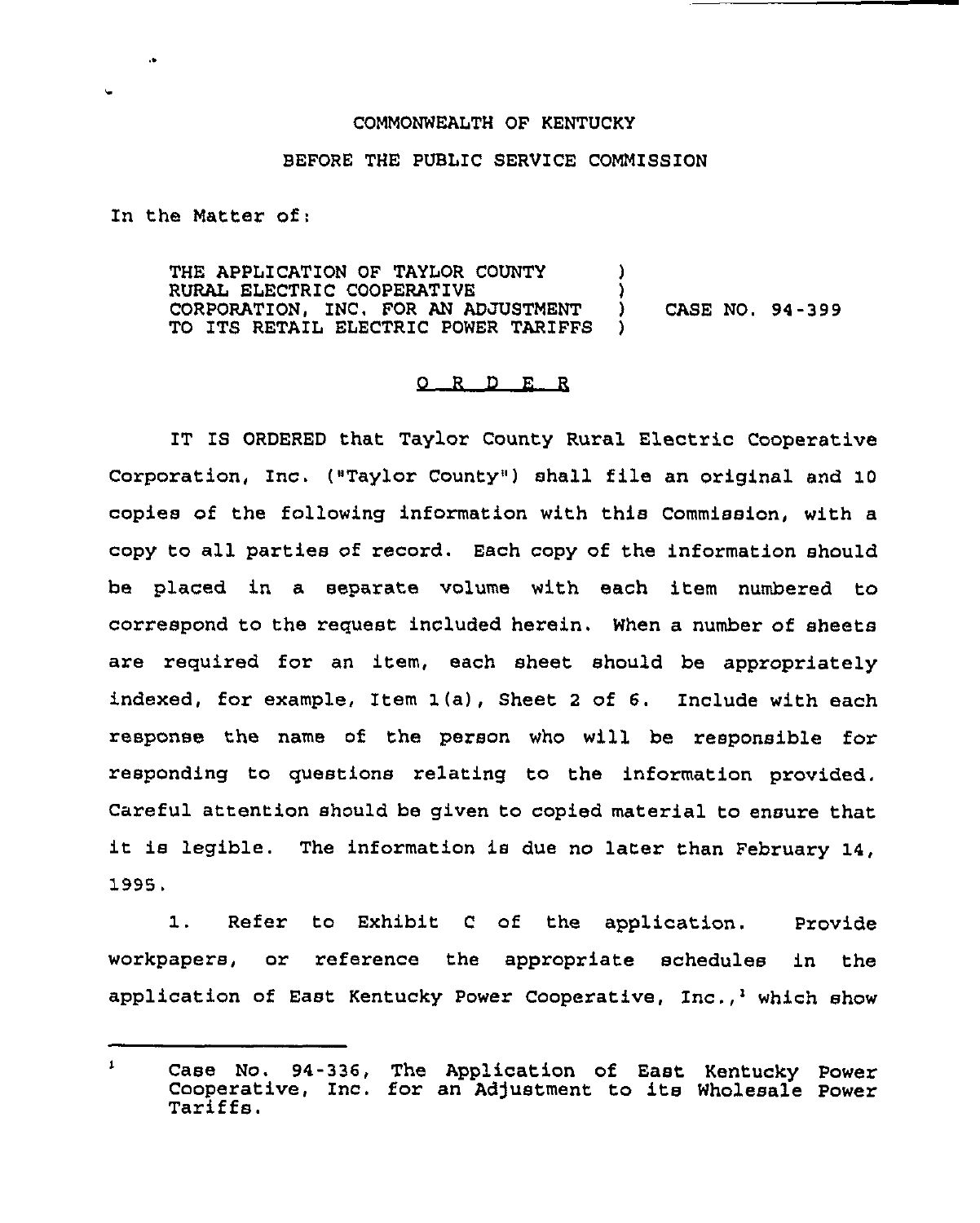## COMMONWEALTH OF KENTUCKY

## BEFORE THE PUBLIC SERVICE COMMISSION

In the Matter of:

 $\ddot{\phantom{a}}$ 

THE APPLICATION OF TAYLOR COUNTY  $\qquad$ ) RURAL ELECTRIC COOPERATIVE (3) CORPORATION, INC, FOR AN ADJUSTMENT ) CASE NO. 94-399 TO ITS RETAIL ELECTRIC POWER TARIFFS

## 0 <sup>R</sup> <sup>D</sup> E R

IT IS ORDERED that Taylor County Rural Electric Cooperative Corporation, Inc. ("Taylor County") shall file an original and 10 copies of the following information with this Commission, with a copy to all parties of record. Each copy of the information should be placed in a separate volume with each item numbered to correspond to the request included herein. When a number of sheets are required for an item, each sheet should be appropriately indexed, for example, Item 1(a), Sheet <sup>2</sup> of 6. include with each response the name of the person who will be responsible for responding to questions relating to the information provided. Careful attention should be given to copied material to ensure that it is legible. The information is due no later than February 14, 1999.

 $1.$ Refer to Exhibit <sup>C</sup> of the application. Provide workpapers, or reference the appropriate schedules in the application of East Kentucky Power Cooperative,  $Inc._i$  which show

 $\mathbf{1}$ Case No. 94-336, The Application of East Kentucky Power Cooperative, Inc. for an Adjustment to its Wholesale Power<br>Tariffs.